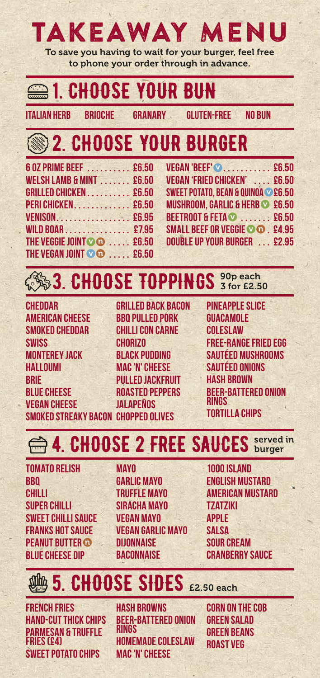# TAKEAWAY MENU

To save you having to wait for your burger, feel free to phone your order through in advance.

#### **221. CHOOSE YOUR BUN**

**Italian Herb Brioche Granary Gluten-free No bun**

## 2. CHOOSE YOUR BURGER

| 6 02 PRIME BEEF  £6.50             |  |
|------------------------------------|--|
|                                    |  |
| <b>WELSH LAMB &amp; MINT £6.50</b> |  |
| GRILLED CHICKEN £6.50              |  |
| <b>PERI CHICKEN. 26.50</b>         |  |
| VENISON. £6.95                     |  |
| WILD BOAR 27.95                    |  |
| THE VEGGIE JOINT OD  £6.50         |  |
| THE VEGAN JOINT CO £6.50           |  |

**Vegan 'Beef' ........... £6.50**  v**Vegan 'Fried Chicken' .... £6.50** SWEET POTATO, BEAN & QUINOA **© £6.5**0 **MUSHROOM, GARLIC & HERB © £6.50 Beetroot & Feta ....... £6.50**  v **SMALL BEEF OR VEGGIE © © . £4.95 Double up your burger ... £2.95** 

#### **3. CHOOSE TOPPINGS** 3 for E2.50 90p each

**Cheddar American Cheese SMOKED CHEDDAR Swiss Monterey Jack Halloumi Brie BLUE CHEESE VEGAN CHEESE Smoked Streaky Bacon CHOPPED OLIVES** 

**Grilled Back Bacon BBQ Pulled Pork Chilli Con Carne Chorizo Black Pudding Mac 'n' Cheese PIII I FD JACKFRUIT Roasted Peppers jalapeños**

**Pineapple Slice Guacamole Coleslaw Free-Range Fried Egg Sautéed Mushrooms Sautéed Onions Hash Brown Beer-Battered Onion Rings Tortilla Chips**

#### <del>■</del> 4. CHOOSE 2 FREE SAUCES served served in

**Tomato Relish BBQ Chilli Super Chilli SWEET CHILLI SAUCE FRANKS HOT SAUCE Peanut Butter**  n **Blue Cheese Dip** 

- **Mayo Garlic Mayo TRUFFLE MAYO Siracha MAYO Vegan Mayo Vegan Garlic Mayo Dijonnaise Baconnaise**
- **1000 Island English Mustard American Mustard Tzatziki Apple Salsa Sour Cream Cranberry Sauce**

#### 5. CHOOSE SIDES £2.50 each

**French Fries Hand-cut Thick Chips PARMeSAN & TRUFFLE FRIES** (£4) **Sweet Potato Chips**

**Hash Browns Beer-Battered Onion Rings Homemade Coleslaw Mac 'n' Cheese**

**Corn on the Cob Green SalaD Green Beans Roast Veg**